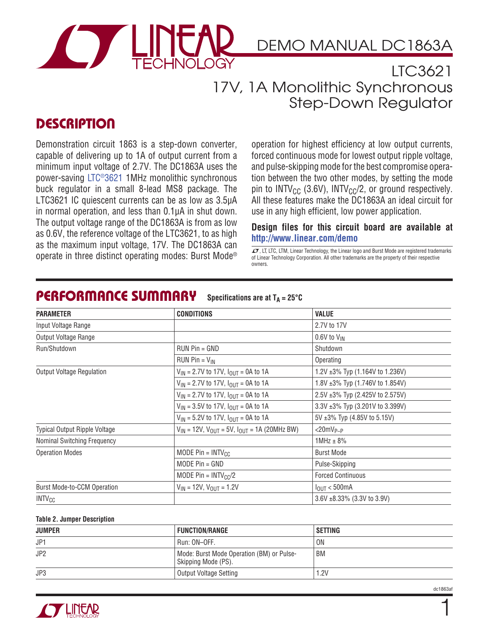

#### LTC3621 17V, 1A Monolithic Synchronous Step-Down Regulator

### **DESCRIPTION**

Demonstration circuit 1863 is a step-down converter, capable of delivering up to 1A of output current from a minimum input voltage of 2.7V. The DC1863A uses the power-saving LTC®3621 1MHz monolithic synchronous buck regulator in a small 8-lead MS8 package. The LTC3621 IC quiescent currents can be as low as 3.5μA in normal operation, and less than 0.1μA in shut down. The output voltage range of the DC1863A is from as low as 0.6V, the reference voltage of the LTC3621, to as high as the maximum input voltage, 17V. The DC1863A can  $\sigma$ , LT, LTC, LTM, LITC, LTM, Linear Technology, the Linear Technology, the Linear Ingo and Burst Mode are registered trademarks<br>Operate in three distinct operating modes: Burst Mode® of Linear Technology Corporation. Al

operation for highest efficiency at low output currents, forced continuous mode for lowest output ripple voltage, and pulse-skipping mode for the best compromise operation between the two other modes, by setting the mode pin to INTV<sub>CC</sub> (3.6V), INTV<sub>CC</sub>/2, or ground respectively. All these features make the DC1863A an ideal circuit for use in any high efficient, low power application.

#### **Design files for this circuit board are available at http://www.linear.com/demo**

of Linear Technology Corporation. All other trademarks are the property of their respective owners.

| <b>PARAMETER</b>                     | <b>CONDITIONS</b>                                         | <b>VALUE</b>                          |
|--------------------------------------|-----------------------------------------------------------|---------------------------------------|
| Input Voltage Range                  |                                                           | 2.7V to 17V                           |
| Output Voltage Range                 |                                                           | $0.6V$ to $V_{IN}$                    |
| Run/Shutdown                         | $RUN Pin = GND$                                           | Shutdown                              |
|                                      | RUN Pin = $V_{IN}$                                        | Operating                             |
| <b>Output Voltage Regulation</b>     | $V_{IN}$ = 2.7V to 17V, $I_{OUT}$ = 0A to 1A              | 1.2V ±3% Typ (1.164V to 1.236V)       |
|                                      | $V_{IN}$ = 2.7V to 17V, $I_{OUT}$ = 0A to 1A              | 1.8V ±3% Typ (1.746V to 1.854V)       |
|                                      | $V_{IN}$ = 2.7V to 17V, $I_{OUT}$ = 0A to 1A              | 2.5V ±3% Typ (2.425V to 2.575V)       |
|                                      | $V_{IN}$ = 3.5V to 17V, $I_{OUT}$ = 0A to 1A              | $3.3V \pm 3\%$ Typ (3.201V to 3.399V) |
|                                      | $V_{IN}$ = 5.2V to 17V, $I_{OUT}$ = 0A to 1A              | $5V \pm 3\%$ Typ (4.85V to 5.15V)     |
| <b>Typical Output Ripple Voltage</b> | $V_{IN}$ = 12V, $V_{OUT}$ = 5V, $I_{OUT}$ = 1A (20MHz BW) | $<$ 20mV <sub>P-P</sub>               |
| <b>Nominal Switching Frequency</b>   |                                                           | $1$ MHz $\pm$ 8%                      |
| <b>Operation Modes</b>               | MODE Pin = $INTV_{CC}$                                    | <b>Burst Mode</b>                     |
|                                      | MODE $Pin = GND$                                          | Pulse-Skipping                        |
|                                      | MODE Pin = $INTV_{CC}/2$                                  | <b>Forced Continuous</b>              |
| Burst Mode-to-CCM Operation          | $V_{IN}$ = 12V, $V_{OUT}$ = 1.2V                          | $I_{\text{OUT}} < 500 \text{mA}$      |
| <b>INTV<sub>CC</sub></b>             |                                                           | 3.6V ±8.33% (3.3V to 3.9V)            |

#### **PERFORMANCE SUMMARY** Specifications are at  $T_A = 25^{\circ}C$

#### **Table 2. Jumper Description**

| <b>JUMPER</b>   | <b>FUNCTION/RANGE</b>                                            | SETTING |
|-----------------|------------------------------------------------------------------|---------|
| JP1             | Run: ON-OFF.                                                     | ON      |
| JP <sub>2</sub> | Mode: Burst Mode Operation (BM) or Pulse-<br>Skipping Mode (PS). | BM      |
| JP3             | Output Voltage Setting                                           | 1.2V    |



1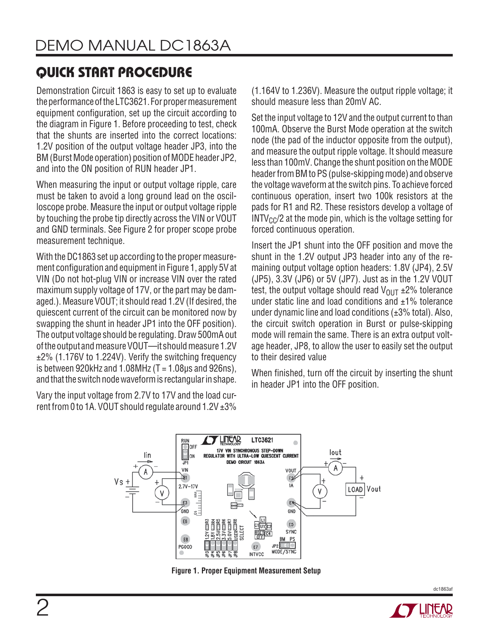## **QUICK START PROCEDURE**

Demonstration Circuit 1863 is easy to set up to evaluate the performance of the LTC3621. For proper measurement equipment configuration, set up the circuit according to the diagram in Figure 1. Before proceeding to test, check that the shunts are inserted into the correct locations: 1.2V position of the output voltage header JP3, into the BM (Burst Mode operation) position of MODE header JP2, and into the ON position of RUN header JP1.

When measuring the input or output voltage ripple, care must be taken to avoid a long ground lead on the oscilloscope probe. Measure the input or output voltage ripple by touching the probe tip directly across the VIN or VOUT and GND terminals. See Figure 2 for proper scope probe measurement technique.

With the DC1863 set up according to the proper measurement configuration and equipment in Figure 1, apply 5V at VIN (Do not hot-plug VIN or increase VIN over the rated maximum supply voltage of 17V, or the part may be damaged.). Measure VOUT; it should read 1.2V (If desired, the quiescent current of the circuit can be monitored now by swapping the shunt in header JP1 into the OFF position). The output voltage should be regulating. Draw 500mA out of the output and measure VOUT—it should measure 1.2V ±2% (1.176V to 1.224V). Verify the switching frequency is between 920kHz and 1.08MHz  $(T = 1.08 \mu s$  and 926ns), and that the switch node waveform is rectangular in shape.

Vary the input voltage from 2.7V to 17V and the load current from 0 to 1A. VOUT should regulate around 1.2V ±3% (1.164V to 1.236V). Measure the output ripple voltage; it should measure less than 20mV AC.

Set the input voltage to 12V and the output current to than 100mA. Observe the Burst Mode operation at the switch node (the pad of the inductor opposite from the output), and measure the output ripple voltage. It should measure less than 100mV. Change the shunt position on the MODE header from BM to PS (pulse-skipping mode) and observe the voltage waveform at the switch pins. To achieve forced continuous operation, insert two 100k resistors at the pads for R1 and R2. These resistors develop a voltage of  $INTV_{CC}/2$  at the mode pin, which is the voltage setting for forced continuous operation.

Insert the JP1 shunt into the OFF position and move the shunt in the 1.2V output JP3 header into any of the remaining output voltage option headers: 1.8V (JP4), 2.5V (JP5), 3.3V (JP6) or 5V (JP7). Just as in the 1.2V VOUT test, the output voltage should read  $V_{\text{OUT}}$   $\pm$ 2% tolerance under static line and load conditions and  $\pm 1\%$  tolerance under dynamic line and load conditions (±3% total). Also, the circuit switch operation in Burst or pulse-skipping mode will remain the same. There is an extra output voltage header, JP8, to allow the user to easily set the output to their desired value

When finished, turn off the circuit by inserting the shunt in header JP1 into the OFF position.



**Figure 1. Proper Equipment Measurement Setup**



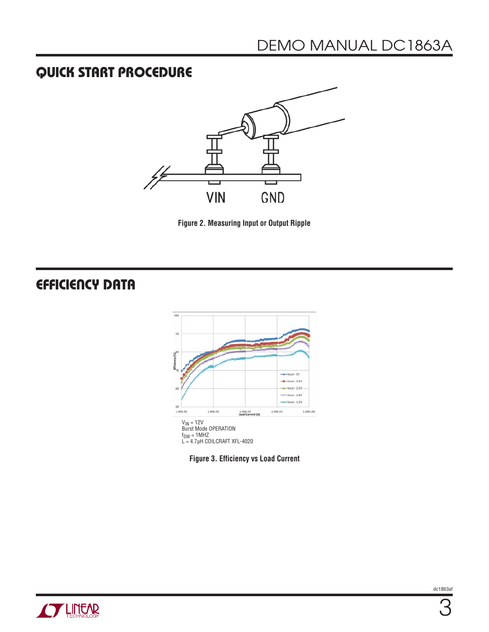### **QUICK START PROCEDURE**



**Figure 2. Measuring Input or Output Ripple**

## **EFFICIENCY DATA**





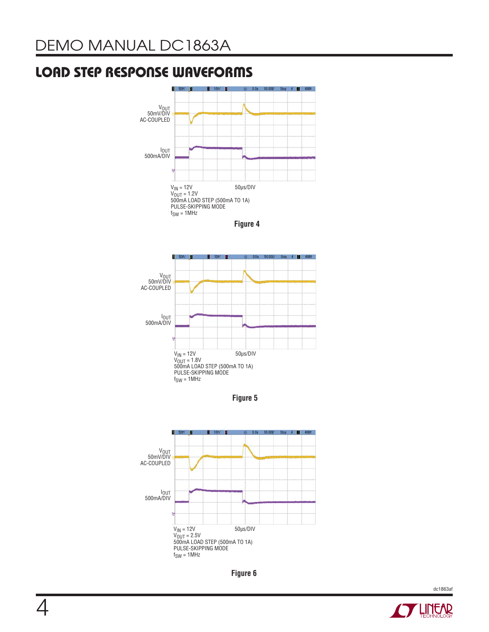### **LOAD STEP RESPONSE WAVEFORMS**







**Figure 5** 







dc1863af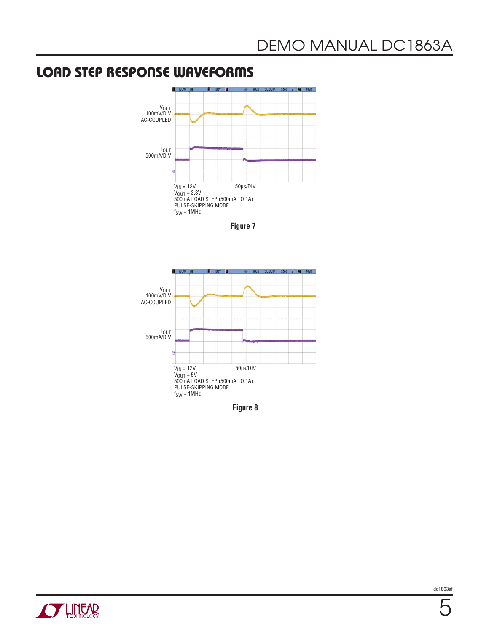### **LOAD STEP RESPONSE WAVEFORMS**









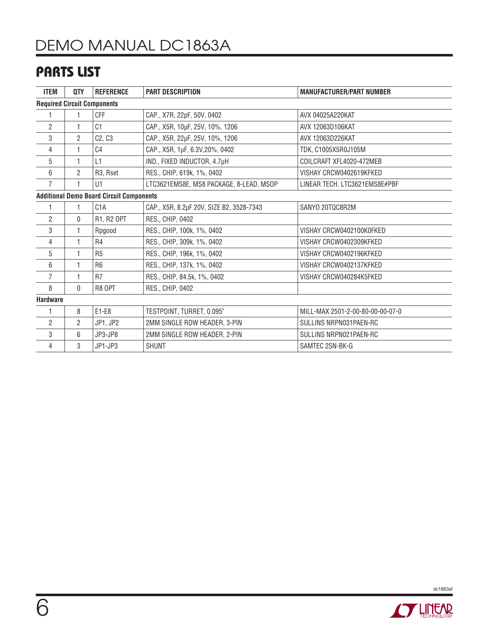### **PARTS LIST**

| <b>ITEM</b>                                     | QTY            | <b>REFERENCE</b>                | <b>PART DESCRIPTION</b>                  | <b>MANUFACTURER/PART NUMBER</b>  |  |
|-------------------------------------------------|----------------|---------------------------------|------------------------------------------|----------------------------------|--|
| <b>Required Circuit Components</b>              |                |                                 |                                          |                                  |  |
|                                                 |                | <b>CFF</b>                      | CAP., X7R, 22pF, 50V, 0402               | AVX 04025A220KAT                 |  |
| $\overline{c}$                                  |                | C <sub>1</sub>                  | CAP., X5R, 10µF, 25V, 10%, 1206          | AVX 12063D106KAT                 |  |
| 3                                               | $\overline{2}$ | C <sub>2</sub> , C <sub>3</sub> | CAP., X5R, 22µF, 25V, 10%, 1206          | AVX 12063D226KAT                 |  |
| 4                                               |                | C4                              | CAP., X5R, 1µF, 6.3V, 20%, 0402          | TDK, C1005X5R0J105M              |  |
| 5                                               |                | L1                              | IND., FIXED INDUCTOR, 4.7µH              | COILCRAFT XFL4020-472MEB         |  |
| 6                                               | $\overline{2}$ | R3, Rset                        | RES., CHIP, 619k, 1%, 0402               | VISHAY CRCW0402619KFKED          |  |
| $\overline{7}$                                  |                | U1                              | LTC3621EMS8E, MS8 PACKAGE, 8-LEAD, MSOP  | LINEAR TECH. LTC3621EMS8E#PBF    |  |
| <b>Additional Demo Board Circuit Components</b> |                |                                 |                                          |                                  |  |
| 1                                               |                | C <sub>1</sub> A                | CAP., X5R, 8.2µF 20V, SIZE B2, 3528-7343 | SANYO 20TQC8R2M                  |  |
| $\overline{2}$                                  | $\mathbf{0}$   | R1, R2 OPT                      | RES., CHIP, 0402                         |                                  |  |
| 3                                               |                | Rpgood                          | RES., CHIP, 100k, 1%, 0402               | VISHAY CRCW0402100K0FKED         |  |
| 4                                               |                | R4                              | RES., CHIP, 309k, 1%, 0402               | VISHAY CRCW0402309KFKED          |  |
| 5                                               | 1              | R <sub>5</sub>                  | RES., CHIP, 196k, 1%, 0402               | VISHAY CRCW0402196KFKED          |  |
| 6                                               |                | R <sub>6</sub>                  | RES., CHIP, 137k, 1%, 0402               | VISHAY CRCW0402137KFKED          |  |
| $\overline{7}$                                  |                | R <sub>7</sub>                  | RES., CHIP, 84.5k, 1%, 0402              | VISHAY CRCW040284K5FKED          |  |
| 8                                               | $\Omega$       | R8 OPT                          | RES., CHIP, 0402                         |                                  |  |
| <b>Hardware</b>                                 |                |                                 |                                          |                                  |  |
|                                                 | 8              | $E1-E8$                         | TESTPOINT, TURRET, 0.095"                | MILL-MAX 2501-2-00-80-00-00-07-0 |  |
| 2                                               | $\overline{2}$ | JP1, JP2                        | 2MM SINGLE ROW HEADER, 3-PIN             | SULLINS NRPN031PAEN-RC           |  |
| 3                                               | 6              | JP3-JP8                         | 2MM SINGLE ROW HEADER, 2-PIN             | SULLINS NRPN021PAEN-RC           |  |
| 4                                               | 3              | JP1-JP3                         | <b>SHUNT</b>                             | SAMTEC 2SN-BK-G                  |  |

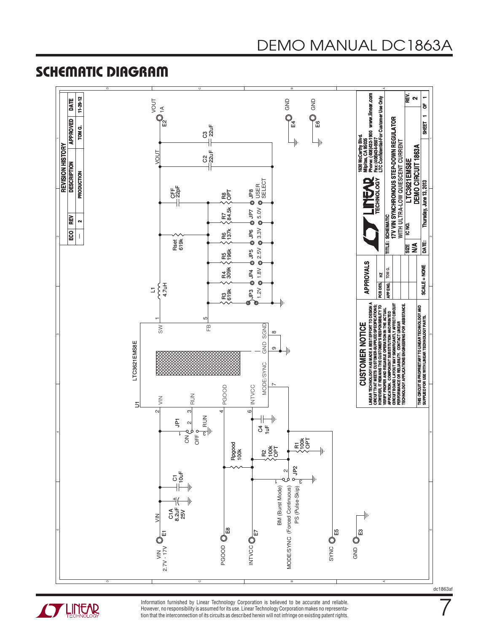#### **SCHEMATIC DIAGRAM**





Information furnished by Linear Technology Corporation is believed to be accurate and reliable. However, no responsibility is assumed for its use. Linear Technology Corporation makes no representation that the interconnection of its circuits as described herein will not infringe on existing patent rights. dc1863af

7